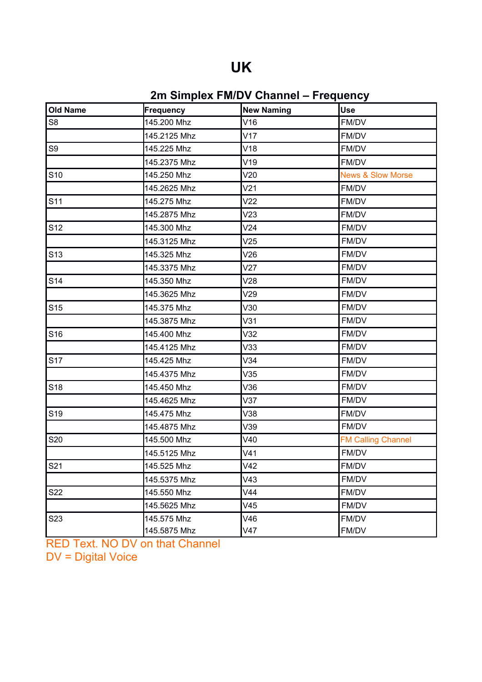## **UK**

## **2m Simplex FM/DV Channel – Frequency**

| <b>Old Name</b> | Frequency    | <b>New Naming</b> | <b>Use</b>                   |
|-----------------|--------------|-------------------|------------------------------|
| S <sub>8</sub>  | 145.200 Mhz  | V16               | FM/DV                        |
|                 | 145.2125 Mhz | V17               | FM/DV                        |
| S9              | 145.225 Mhz  | V18               | FM/DV                        |
|                 | 145.2375 Mhz | V19               | FM/DV                        |
| S <sub>10</sub> | 145.250 Mhz  | V20               | <b>News &amp; Slow Morse</b> |
|                 | 145.2625 Mhz | V <sub>21</sub>   | FM/DV                        |
| S <sub>11</sub> | 145.275 Mhz  | V <sub>22</sub>   | FM/DV                        |
|                 | 145.2875 Mhz | V23               | FM/DV                        |
| S <sub>12</sub> | 145.300 Mhz  | V24               | FM/DV                        |
|                 | 145.3125 Mhz | V25               | FM/DV                        |
| S <sub>13</sub> | 145.325 Mhz  | V26               | FM/DV                        |
|                 | 145.3375 Mhz | V27               | FM/DV                        |
| S <sub>14</sub> | 145.350 Mhz  | V28               | FM/DV                        |
|                 | 145.3625 Mhz | V29               | FM/DV                        |
| S <sub>15</sub> | 145.375 Mhz  | V30               | FM/DV                        |
|                 | 145.3875 Mhz | V31               | FM/DV                        |
| S <sub>16</sub> | 145.400 Mhz  | V32               | FM/DV                        |
|                 | 145.4125 Mhz | V33               | FM/DV                        |
| S <sub>17</sub> | 145.425 Mhz  | V34               | FM/DV                        |
|                 | 145.4375 Mhz | V35               | FM/DV                        |
| S <sub>18</sub> | 145.450 Mhz  | V36               | FM/DV                        |
|                 | 145.4625 Mhz | V37               | FM/DV                        |
| S <sub>19</sub> | 145.475 Mhz  | V38               | FM/DV                        |
|                 | 145.4875 Mhz | V39               | FM/DV                        |
| S20             | 145.500 Mhz  | V40               | <b>FM Calling Channel</b>    |
|                 | 145.5125 Mhz | V41               | FM/DV                        |
| S21             | 145.525 Mhz  | V42               | FM/DV                        |
|                 | 145.5375 Mhz | V43               | FM/DV                        |
| S22             | 145.550 Mhz  | V44               | FM/DV                        |
|                 | 145.5625 Mhz | V45               | FM/DV                        |
| S <sub>23</sub> | 145.575 Mhz  | V46               | FM/DV                        |
|                 | 145.5875 Mhz | V47               | FM/DV                        |

RED Text. NO DV on that Channel DV = Digital Voice